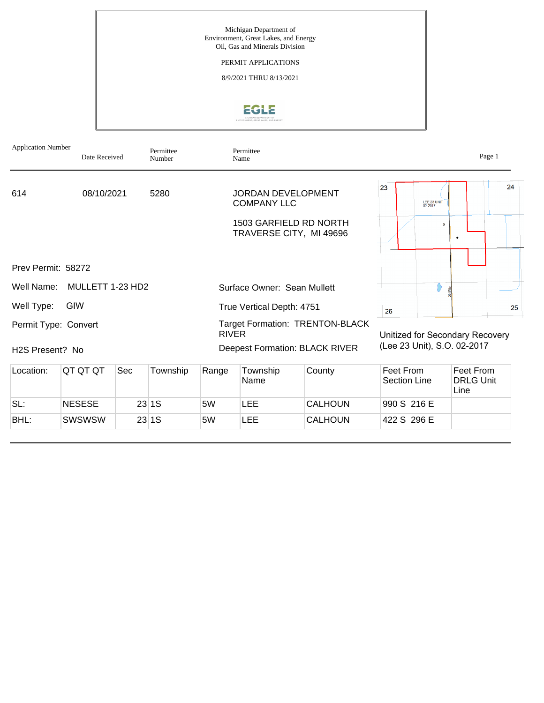

# EGLE

| <b>Application Number</b>                            | Date Received    |     | Permittee<br>Number |              | Permittee<br>Name                               |                                                                                 |                           |                        | Page 1                                                         |    |
|------------------------------------------------------|------------------|-----|---------------------|--------------|-------------------------------------------------|---------------------------------------------------------------------------------|---------------------------|------------------------|----------------------------------------------------------------|----|
| 614                                                  | 08/10/2021       |     | 5280                |              | <b>JORDAN DEVELOPMENT</b><br><b>COMPANY LLC</b> |                                                                                 | 23                        | LEE 23 UNIT<br>02-2017 |                                                                | 24 |
|                                                      |                  |     |                     |              | TRAVERSE CITY, MI 49696                         | 1503 GARFIELD RD NORTH                                                          |                           | $\mathbf x$            | ٠                                                              |    |
| Prev Permit: 58272                                   |                  |     |                     |              |                                                 |                                                                                 |                           |                        |                                                                |    |
| Well Name:                                           | MULLETT 1-23 HD2 |     |                     |              | Surface Owner: Sean Mullett                     |                                                                                 |                           |                        |                                                                |    |
| Well Type:                                           | GIW              |     |                     |              | True Vertical Depth: 4751                       |                                                                                 | 26                        |                        |                                                                | 25 |
| Permit Type: Convert<br>H <sub>2</sub> S Present? No |                  |     |                     | <b>RIVER</b> |                                                 | <b>Target Formation: TRENTON-BLACK</b><br><b>Deepest Formation: BLACK RIVER</b> |                           |                        | Unitized for Secondary Recovery<br>(Lee 23 Unit), S.O. 02-2017 |    |
| Location:                                            | QT QT QT         | Sec | Township            | Range        | Township<br>Name                                | County                                                                          | Feet From<br>Section Line |                        | Feet From<br><b>DRLG Unit</b><br>Line                          |    |
| SL:                                                  | <b>NESESE</b>    |     | 23 1S               | 5W           | <b>LEE</b>                                      | <b>CALHOUN</b>                                                                  | 990 S 216 E               |                        |                                                                |    |
| BHL:                                                 | <b>SWSWSW</b>    |     | 23 1S               | 5W           | <b>LEE</b>                                      | <b>CALHOUN</b>                                                                  | 422 S 296 E               |                        |                                                                |    |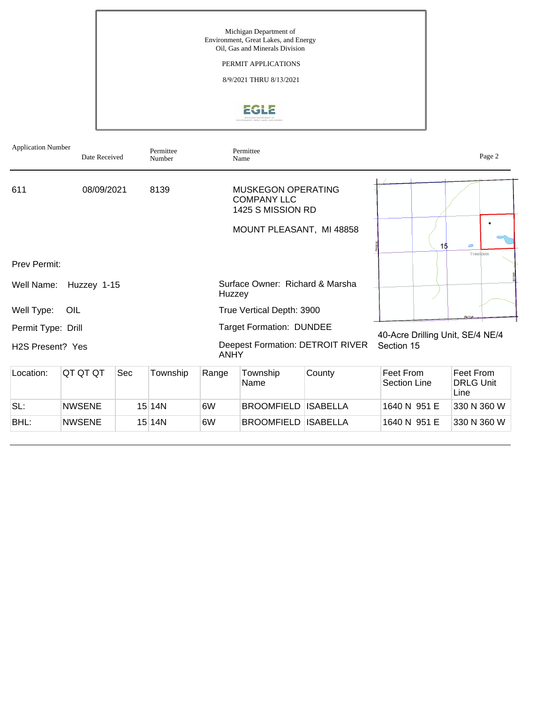Michigan Department of Environment, Great Lakes, and Energy Oil, Gas and Minerals Division

PERMIT APPLICATIONS

8/9/2021 THRU 8/13/2021

# EGLE

| <b>Application Number</b>     | Date Received                                                            |     | Permittee<br>Number |                                                        | Permittee<br>Name                                                    |                 | Page 2                           |                                  |                                       |  |
|-------------------------------|--------------------------------------------------------------------------|-----|---------------------|--------------------------------------------------------|----------------------------------------------------------------------|-----------------|----------------------------------|----------------------------------|---------------------------------------|--|
| 611                           | 08/09/2021                                                               |     | 8139                |                                                        | <b>MUSKEGON OPERATING</b><br><b>COMPANY LLC</b><br>1425 S MISSION RD |                 |                                  |                                  |                                       |  |
|                               |                                                                          |     |                     | MOUNT PLEASANT, MI 48858                               |                                                                      | 15              | $\subset$<br><b>T14NR06W</b>     |                                  |                                       |  |
| Prev Permit:                  |                                                                          |     |                     |                                                        |                                                                      |                 |                                  |                                  |                                       |  |
| Well Name:                    | Huzzey 1-15                                                              |     |                     | Huzzey                                                 | Surface Owner: Richard & Marsha                                      |                 |                                  |                                  |                                       |  |
| Well Type:                    | OIL                                                                      |     |                     | True Vertical Depth: 3900                              |                                                                      |                 |                                  |                                  |                                       |  |
| Permit Type: Drill            |                                                                          |     |                     | <b>Target Formation: DUNDEE</b>                        |                                                                      |                 |                                  | 40-Acre Drilling Unit, SE/4 NE/4 |                                       |  |
| H <sub>2</sub> S Present? Yes |                                                                          |     |                     | <b>Deepest Formation: DETROIT RIVER</b><br><b>ANHY</b> |                                                                      |                 | Section 15                       |                                  |                                       |  |
| Location:                     | QT QT QT                                                                 | Sec | Township            | Range                                                  | Township<br>Name                                                     | County          | Feet From<br><b>Section Line</b> |                                  | Feet From<br><b>DRLG Unit</b><br>Line |  |
| SL:                           | <b>NWSENE</b>                                                            |     | $15$  14N           | 6W                                                     | <b>BROOMFIELD</b>                                                    | <b>ISABELLA</b> | 1640 N 951 E                     |                                  | 330 N 360 W                           |  |
| BHL:                          | <b>BROOMFIELD</b><br><b>ISABELLA</b><br><b>NWSENE</b><br>$15$  14N<br>6W |     |                     |                                                        |                                                                      |                 | 1640 N 951 E                     |                                  | 330 N 360 W                           |  |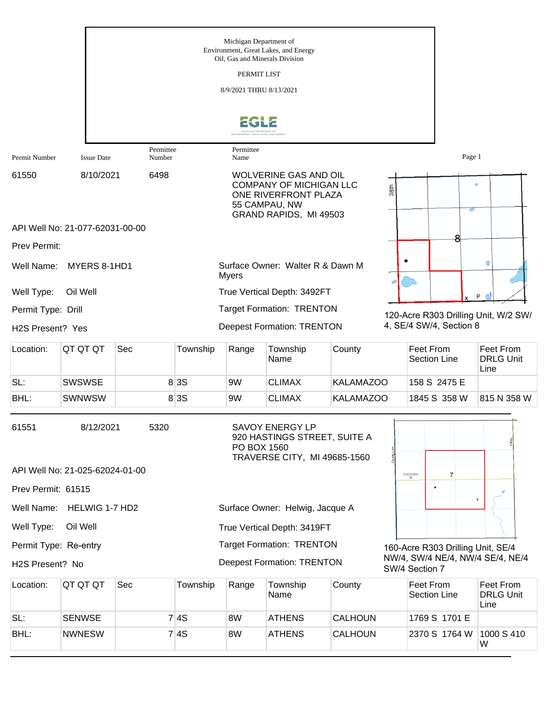|                               |                                 |                     |          | Michigan Department of<br>Oil, Gas and Minerals Division<br>PERMIT LIST<br>8/9/2021 THRU 8/13/2021                                | Environment, Great Lakes, and Energy                                                   |                  |  |                                                    |                                       |  |
|-------------------------------|---------------------------------|---------------------|----------|-----------------------------------------------------------------------------------------------------------------------------------|----------------------------------------------------------------------------------------|------------------|--|----------------------------------------------------|---------------------------------------|--|
|                               |                                 |                     |          | ONMENT, GREAT LAKES, AND ENERGY                                                                                                   |                                                                                        |                  |  |                                                    |                                       |  |
| Permit Number                 | <b>Issue Date</b>               | Permittee<br>Number |          | Permittee<br>Name                                                                                                                 |                                                                                        |                  |  | Page 1                                             |                                       |  |
| 61550                         | 8/10/2021                       | 6498                |          | <b>WOLVERINE GAS AND OIL</b><br><b>COMPANY OF MICHIGAN LLC</b><br>ONE RIVERFRONT PLAZA<br>55 CAMPAU, NW<br>GRAND RAPIDS, MI 49503 |                                                                                        |                  |  | $\bullet$<br>38th<br>с                             |                                       |  |
|                               | API Well No: 21-077-62031-00-00 |                     |          |                                                                                                                                   |                                                                                        |                  |  |                                                    |                                       |  |
| Prev Permit:                  |                                 |                     |          |                                                                                                                                   |                                                                                        |                  |  |                                                    |                                       |  |
| Well Name:                    | MYERS 8-1HD1                    |                     | G        |                                                                                                                                   |                                                                                        |                  |  |                                                    |                                       |  |
| Well Type:                    | Oil Well                        |                     | P        |                                                                                                                                   |                                                                                        |                  |  |                                                    |                                       |  |
| Permit Type: Drill            |                                 |                     |          |                                                                                                                                   | <b>Target Formation: TRENTON</b>                                                       |                  |  | 120-Acre R303 Drilling Unit, W/2 SW/               |                                       |  |
| H <sub>2</sub> S Present? Yes |                                 |                     |          |                                                                                                                                   | <b>Deepest Formation: TRENTON</b>                                                      |                  |  | 4, SE/4 SW/4, Section 8                            |                                       |  |
| Location:                     | QT QT QT                        | Sec                 | Township | Range                                                                                                                             | Township<br>Name                                                                       | County           |  | Feet From<br><b>Section Line</b>                   | Feet From<br><b>DRLG Unit</b><br>Line |  |
| SL:                           | <b>SWSWSE</b>                   |                     | 8 3 S    | 9W                                                                                                                                | <b>CLIMAX</b>                                                                          | <b>KALAMAZOO</b> |  | 158 S 2475 E                                       |                                       |  |
| BHL:                          | <b>SWNWSW</b>                   |                     | 8 3 S    | 9W                                                                                                                                | <b>CLIMAX</b>                                                                          | <b>KALAMAZOO</b> |  | 1845 S 358 W                                       | 815 N 358 W                           |  |
| 61551                         | 8/12/2021                       | 5320                |          | PO BOX 1560                                                                                                                       | <b>SAVOY ENERGY LP</b><br>920 HASTINGS STREET, SUITE A<br>TRAVERSE CITY, MI 49685-1560 |                  |  |                                                    |                                       |  |
|                               | API Well No: 21-025-62024-01-00 |                     |          |                                                                                                                                   |                                                                                        |                  |  | T04SR08W<br>7                                      |                                       |  |
| Prev Permit: 61515            |                                 |                     |          |                                                                                                                                   |                                                                                        |                  |  |                                                    | $\pmb{\mathsf{x}}$                    |  |
| Well Name:                    | HELWIG 1-7 HD2                  |                     |          |                                                                                                                                   | Surface Owner: Helwig, Jacque A                                                        |                  |  |                                                    |                                       |  |
| Well Type:                    | Oil Well                        |                     |          |                                                                                                                                   | True Vertical Depth: 3419FT                                                            |                  |  |                                                    |                                       |  |
| Permit Type: Re-entry         |                                 |                     |          |                                                                                                                                   | <b>Target Formation: TRENTON</b>                                                       |                  |  | 160-Acre R303 Drilling Unit, SE/4                  |                                       |  |
| H2S Present? No               |                                 |                     |          |                                                                                                                                   | <b>Deepest Formation: TRENTON</b>                                                      |                  |  | NW/4, SW/4 NE/4, NW/4 SE/4, NE/4<br>SW/4 Section 7 |                                       |  |
| Location:                     | QT QT QT                        | Sec                 | Township | Range                                                                                                                             | Township<br>Name                                                                       | County           |  | Feet From<br><b>Section Line</b>                   | Feet From<br><b>DRLG Unit</b><br>Line |  |
| SL:                           | <b>SENWSE</b>                   |                     | 7 4S     | 8W                                                                                                                                | <b>ATHENS</b>                                                                          | <b>CALHOUN</b>   |  | 1769 S 1701 E                                      |                                       |  |
| BHL:                          | <b>NWNESW</b>                   |                     | 7 4S     | 8W                                                                                                                                | <b>ATHENS</b>                                                                          | <b>CALHOUN</b>   |  | 2370 S 1764 W                                      | 1000 S 410<br>W                       |  |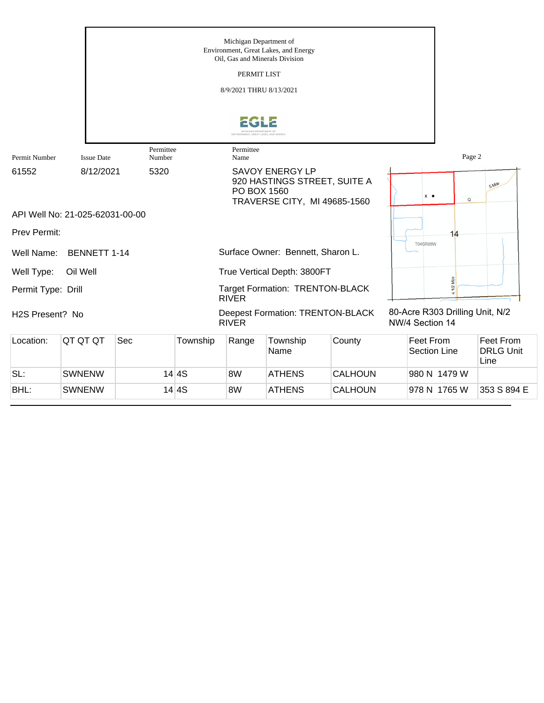|                              |                                 |                     |          | Michigan Department of  | Environment, Great Lakes, and Energy<br>Oil, Gas and Minerals Division                 |                |                                                    |              |                                       |
|------------------------------|---------------------------------|---------------------|----------|-------------------------|----------------------------------------------------------------------------------------|----------------|----------------------------------------------------|--------------|---------------------------------------|
|                              |                                 |                     |          | PERMIT LIST             |                                                                                        |                |                                                    |              |                                       |
|                              |                                 |                     |          | 8/9/2021 THRU 8/13/2021 |                                                                                        |                |                                                    |              |                                       |
|                              |                                 |                     |          |                         |                                                                                        |                |                                                    |              |                                       |
|                              |                                 |                     |          | CHICAN DEPARTMENT O     |                                                                                        |                |                                                    |              |                                       |
| Permit Number                | <b>Issue Date</b>               | Permittee<br>Number |          | Permittee<br>Name       |                                                                                        |                |                                                    | Page 2       |                                       |
| 61552                        | 8/12/2021                       | 5320                |          | PO BOX 1560             | <b>SAVOY ENERGY LP</b><br>920 HASTINGS STREET, SUITE A<br>TRAVERSE CITY, MI 49685-1560 |                | $x \bullet$                                        | $\mathsf Q$  | 5 Mile                                |
|                              | API Well No: 21-025-62031-00-00 |                     |          |                         |                                                                                        |                |                                                    |              |                                       |
| <b>Prev Permit:</b>          |                                 |                     |          |                         |                                                                                        |                |                                                    | 14           |                                       |
| Well Name:                   | <b>BENNETT 1-14</b>             |                     |          |                         | Surface Owner: Bennett, Sharon L.                                                      |                | <b>T04SR08W</b>                                    |              |                                       |
| Well Type:                   | Oil Well                        |                     |          |                         | True Vertical Depth: 3800FT                                                            |                |                                                    |              |                                       |
| Permit Type: Drill           |                                 |                     |          | <b>RIVER</b>            | Target Formation: TRENTON-BLACK                                                        |                |                                                    | Š,           |                                       |
| H <sub>2</sub> S Present? No |                                 |                     |          | <b>RIVER</b>            | <b>Deepest Formation: TRENTON-BLACK</b>                                                |                | 80-Acre R303 Drilling Unit, N/2<br>NW/4 Section 14 |              |                                       |
| Location:                    | QT QT QT                        | Sec                 | Township | Range                   | Township<br>Name                                                                       | County         | <b>Feet From</b><br><b>Section Line</b>            |              | Feet From<br><b>DRLG Unit</b><br>Line |
| SL:                          | <b>SWNENW</b>                   |                     | 14 4S    | 8W                      | <b>ATHENS</b>                                                                          | <b>CALHOUN</b> |                                                    | 980 N 1479 W |                                       |

BHL: SWNENW 14 4S 8W ATHENS CALHOUN 978 N 1765 W 353 S 894 E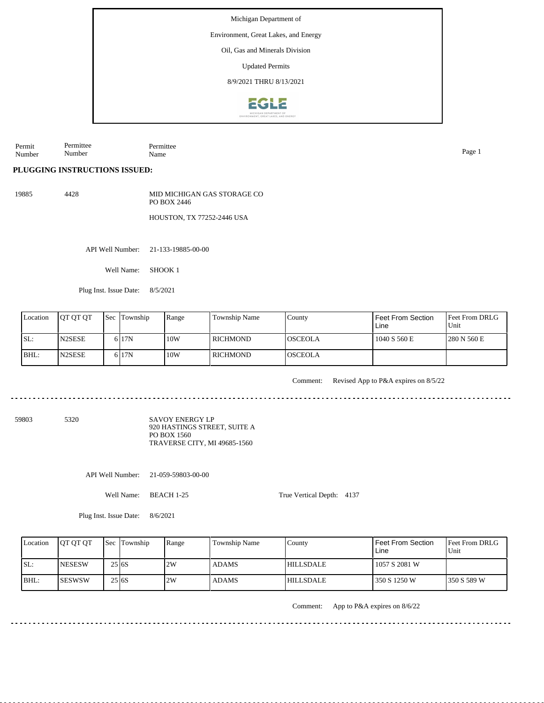Environment, Great Lakes, and Energy

Oil, Gas and Minerals Division

Updated Permits

8/9/2021 THRU 8/13/2021



Permit Number Permittee Number Permittee Name Page 1

**PLUGGING INSTRUCTIONS ISSUED:**

19885 4428 MID MICHIGAN GAS STORAGE CO PO BOX 2446

HOUSTON, TX 77252-2446 USA

API Well Number: 21-133-19885-00-00

Well Name: SHOOK 1

Plug Inst. Issue Date: 8/5/2021

| Location | <b>OT OT OT</b> | <b>Sec</b> Township | Range | <b>Township Name</b> | County          | Feet From Section<br>Line | <b>Feet From DRLG</b><br>Unit |
|----------|-----------------|---------------------|-------|----------------------|-----------------|---------------------------|-------------------------------|
| ISL:     | <b>IN2SESE</b>  | 6 <sub>17N</sub>    | 10W   | <b>RICHMOND</b>      | <b>IOSCEOLA</b> | 1040 S 560 E              | 1280 N 560 E                  |
| BHL:     | <b>IN2SESE</b>  | 6 <sub>17N</sub>    | 10W   | RICHMOND             | <b>OSCEOLA</b>  |                           |                               |

Comment: Revised App to P&A expires on 8/5/22

59803 5320

SAVOY ENERGY LP 920 HASTINGS STREET, SUITE A PO BOX 1560 TRAVERSE CITY, MI 49685-1560

API Well Number: 21-059-59803-00-00

Well Name: BEACH 1-25

True Vertical Depth: 4137

Plug Inst. Issue Date: 8/6/2021

| Location | <b>IOT OT OT</b> |        | <b>Sec Township</b> | Range | Township Name | County           | <b>Feet From Section</b><br>Line | <b>Feet From DRLG</b><br>l Unit |
|----------|------------------|--------|---------------------|-------|---------------|------------------|----------------------------------|---------------------------------|
| ISL:     | <b>INESESW</b>   | 25 6S  |                     | 2W    | <b>ADAMS</b>  | <b>HILLSDALE</b> | 1057 S 2081 W                    |                                 |
| BHL:     | <b>ISESWSW</b>   | 25 6 S |                     | 2W    | <b>ADAMS</b>  | <b>HILLSDALE</b> | 350 S 1250 W                     | 1350 S 589 W                    |

Comment: App to P&A expires on 8/6/22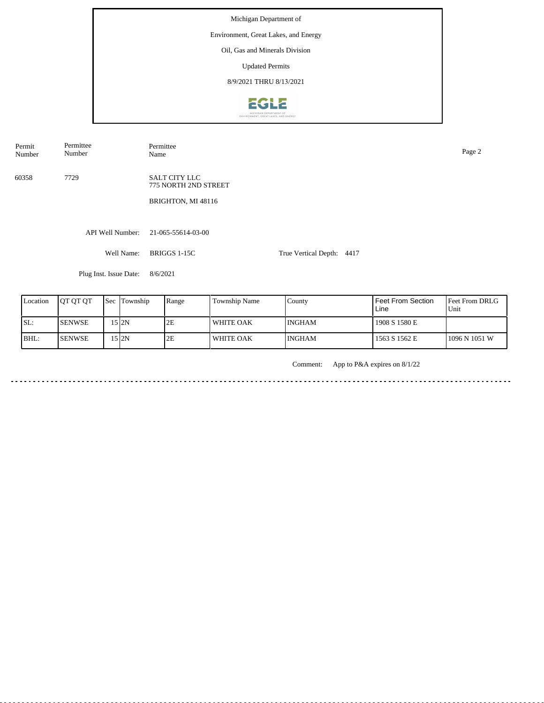Michigan Department of Environment, Great Lakes, and Energy Oil, Gas and Minerals Division Updated Permits 8/9/2021 THRU 8/13/2021**EGLE** 

Permit Number Permittee Number

Permittee<br>Name Name Page 2

60358 7729

SALT CITY LLC 775 NORTH 2ND STREET

BRIGHTON, MI 48116

API Well Number: 21-065-55614-03-00

Well Name: BRIGGS 1-15C

True Vertical Depth: 4417

Plug Inst. Issue Date: 8/6/2021

| Location | <b>IOT OT OT</b> | <b>Sec</b> Township | Range | Township Name    | County        | <b>Feet From Section</b><br>Line | <b>Feet From DRLG</b><br>Unit |
|----------|------------------|---------------------|-------|------------------|---------------|----------------------------------|-------------------------------|
| SL:      | <b>ISENWSE</b>   | 15 I2N              | 2E    | <b>WHITE OAK</b> | <b>INGHAM</b> | 1908 S 1580 E                    |                               |
| BHL:     | <b>ISENWSE</b>   | 15 2N               | 2E    | WHITE OAK        | <b>INGHAM</b> | 1563 S 1562 E                    | 1096 N 1051 W                 |

Comment: App to P&A expires on 8/1/22

in a change and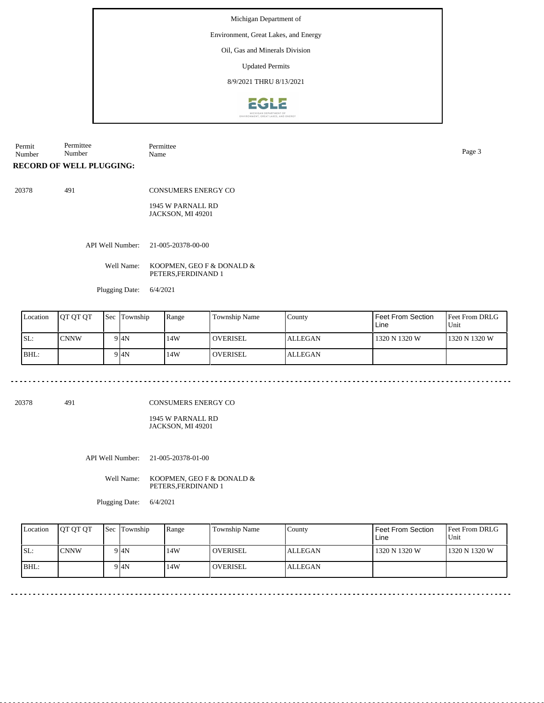### Environment, Great Lakes, and Energy

# Oil, Gas and Minerals Division

Updated Permits

8/9/2021 THRU 8/13/2021



Permit Number Permittee Number Permittee Name Page 3

**RECORD OF WELL PLUGGING:**

20378 491

CONSUMERS ENERGY CO

1945 W PARNALL RD JACKSON, MI 49201

API Well Number: 21-005-20378-00-00

Well Name: KOOPMEN, GEO F & DONALD & PETERS,FERDINAND 1

Plugging Date: 6/4/2021

| Location | <b>IOT OT OT</b> | <b>Sec</b> | Township | Range | Township Name   | County         | Feet From Section<br>Line | <b>Feet From DRLG</b><br>Unit |
|----------|------------------|------------|----------|-------|-----------------|----------------|---------------------------|-------------------------------|
| ISL:     | <b>CNNW</b>      |            | 9 I4N    | 14W   | l overisel      | <b>ALLEGAN</b> | 1320 N 1320 W             | 1320 N 1320 W                 |
| BHL:     |                  |            | 9 I4N    | 14W   | <b>OVERISEL</b> | <b>ALLEGAN</b> |                           |                               |

20378 491

CONSUMERS ENERGY CO

1945 W PARNALL RD JACKSON, MI 49201

API Well Number: 21-005-20378-01-00

Well Name: KOOPMEN, GEO F & DONALD & PETERS,FERDINAND 1

Plugging Date: 6/4/2021

| Location | <b>IOT OT OT</b> | <b>Sec Township</b> | Range | Township Name | County  | l Feet From Section<br>Line | <b>Feet From DRLG</b><br>Unit |
|----------|------------------|---------------------|-------|---------------|---------|-----------------------------|-------------------------------|
| SL:      | <b>CNNW</b>      | 9 I4N               | 14W   | l overisel    | ALLEGAN | 1320 N 1320 W               | 1320 N 1320 W                 |
| $IBHL$ : |                  | 9 I4N               | 14W   | l overisel    | ALLEGAN |                             |                               |

<u>. . . . . . . . . . . . . . . . . . .</u>

. . . . . . . . . . . . . . . . . . .

<u>. . . . . . . . . . .</u>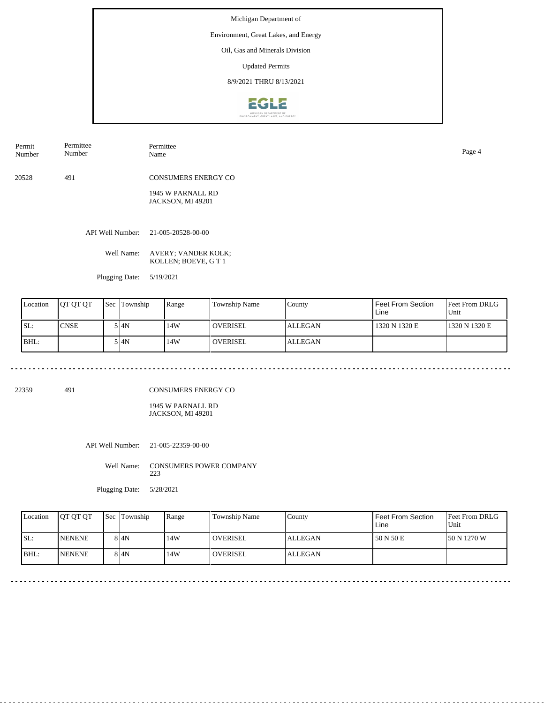#### Environment, Great Lakes, and Energy

Oil, Gas and Minerals Division

Updated Permits

8/9/2021 THRU 8/13/2021



Permit Number Permittee Number Permittee Name Page 4

20528 491 CONSUMERS ENERGY CO

> 1945 W PARNALL RD JACKSON, MI 49201

API Well Number: 21-005-20528-00-00

Well Name: AVERY; VANDER KOLK; KOLLEN; BOEVE, G T 1

Plugging Date: 5/19/2021

. . . . . . . . . . . . . . . . . . . .

| Location | <b>IOT OT OT</b> | Sec | Township | Range | <b>Township Name</b> | County         | Feet From Section<br>Line | <b>Feet From DRLG</b><br>Unit |
|----------|------------------|-----|----------|-------|----------------------|----------------|---------------------------|-------------------------------|
| ISL:     | CNSE             |     | 5 I4N    | 14W   | l overisel           | <b>ALLEGAN</b> | 1320 N 1320 E             | 1320 N 1320 E                 |
| BHL:     |                  |     | 5 I4N    | 14W   | <b>OVERISEL</b>      | <b>ALLEGAN</b> |                           |                               |

22359 491

. . . . . . . . .

CONSUMERS ENERGY CO

1945 W PARNALL RD JACKSON, MI 49201

API Well Number: 21-005-22359-00-00

Well Name: CONSUMERS POWER COMPANY 223

Plugging Date: 5/28/2021

| Location | <b>OT OT OT</b> | <b>Sec Township</b> | Range | Township Name | County         | Feet From Section<br>Line | Feet From DRLG<br>Unit |
|----------|-----------------|---------------------|-------|---------------|----------------|---------------------------|------------------------|
| SL:      | <b>INENENE</b>  | 8 I4N               | 14W   | l overisel    | <b>ALLEGAN</b> | 150 N 50 E                | 150 N 1270 W           |
| IBHL:    | <b>INENENE</b>  | 8 I4N               | 14W   | l overisel    | <b>ALLEGAN</b> |                           |                        |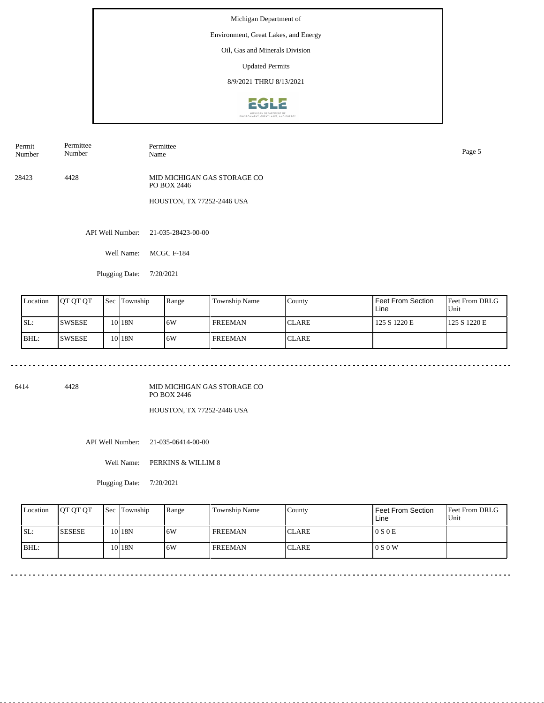### Environment, Great Lakes, and Energy

Oil, Gas and Minerals Division

Updated Permits

8/9/2021 THRU 8/13/2021



| Permit<br>Number | –<br>Permittee<br>$\sim$ $\sim$<br>vumber | Permittee.<br>Name | Page |
|------------------|-------------------------------------------|--------------------|------|
|                  |                                           |                    |      |

28423 4428 MID MICHIGAN GAS STORAGE CO PO BOX 2446

HOUSTON, TX 77252-2446 USA

API Well Number: 21-035-28423-00-00

Well Name: MCGC F-184

Plugging Date: 7/20/2021

| Location | IOT OT OT     | Sec | Township          | Range | Township Name    | County        | Feet From Section<br>Line | <b>Feet From DRLG</b><br>Unit |
|----------|---------------|-----|-------------------|-------|------------------|---------------|---------------------------|-------------------------------|
| ISL:     | <b>SWSESE</b> |     | 10 <sub>18N</sub> | 16W   | <b>FREEMAN</b>   | <b>ICLARE</b> | 125 S 1220 E              | 125 S 1220 E                  |
| BHL:     | 'SWSESE       |     | 10 <sub>18N</sub> | 16W   | <b>I FREEMAN</b> | <b>ICLARE</b> |                           |                               |

6414 4428

MID MICHIGAN GAS STORAGE CO PO BOX 2446

HOUSTON, TX 77252-2446 USA

API Well Number: 21-035-06414-00-00

Well Name: PERKINS & WILLIM 8

Plugging Date: 7/20/2021

| Location | <b>IOT OT OT</b> | <b>Sec Township</b> | Range | Township Name  | County        | Feet From Section<br>Line | <b>Feet From DRLG</b><br>Unit |
|----------|------------------|---------------------|-------|----------------|---------------|---------------------------|-------------------------------|
| ISL:     | <b>SESESE</b>    | 10 18N              | 6W    | <b>FREEMAN</b> | <b>ICLARE</b> | 0 S 0 E                   |                               |
| BHL:     |                  | 10 <sub>18N</sub>   | 6W    | <b>FREEMAN</b> | <b>CLARE</b>  | 0 S 0 W                   |                               |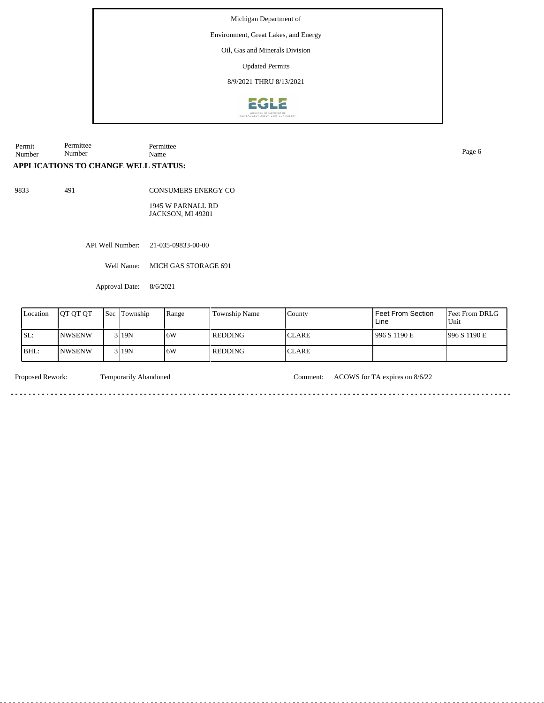Environment, Great Lakes, and Energy

Oil, Gas and Minerals Division

Updated Permits

8/9/2021 THRU 8/13/2021



Permit Number Permittee Number Permittee Name Page 6

# **APPLICATIONS TO CHANGE WELL STATUS:**

9833 491

CONSUMERS ENERGY CO

1945 W PARNALL RD JACKSON, MI 49201

API Well Number: 21-035-09833-00-00

Well Name: MICH GAS STORAGE 691

Approval Date: 8/6/2021

| Location | <b>IOT OT OT</b> | <b>Sec</b> | <b>Township</b> | Range | <b>Township Name</b> | County        | l Feet From Section<br>Line | Feet From DRLG<br>Unit |
|----------|------------------|------------|-----------------|-------|----------------------|---------------|-----------------------------|------------------------|
| ISL:     | INWSENW          |            | 3119N           | 16W   | l REDDING            | <b>ICLARE</b> | 996 S 1190 E                | 1996 S 1190 E          |
| BHL:     | <b>NWSENW</b>    |            | 3 19N           | 16W   | REDDING              | <b>ICLARE</b> |                             |                        |

<u>. . . . . .</u>

<u>. . . . . . . . .</u>

Proposed Rework: Temporarily Abandoned Comment: ACOWS for TA expires on 8/6/22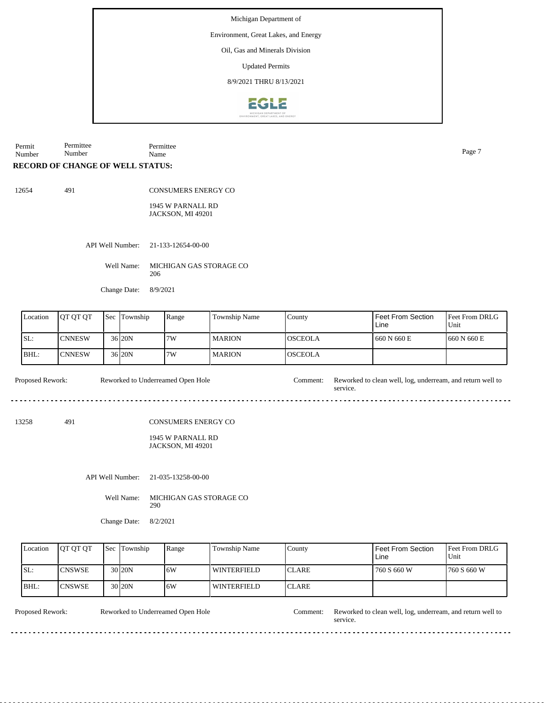Environment, Great Lakes, and Energy

Oil, Gas and Minerals Division

Updated Permits

8/9/2021 THRU 8/13/2021



Permit Number Permittee Number Permittee Name Page 7

#### **RECORD OF CHANGE OF WELL STATUS:**

491

CONSUMERS ENERGY CO

1945 W PARNALL RD JACKSON, MI 49201

API Well Number: 21-133-12654-00-00

Well Name: MICHIGAN GAS STORAGE CO 206

Change Date: 8/9/2021

| Location | <b>IOT OT OT</b> | l Sec | Township            | Range | Township Name | County          | Feet From Section<br>Line | <b>Feet From DRLG</b><br>Unit |
|----------|------------------|-------|---------------------|-------|---------------|-----------------|---------------------------|-------------------------------|
| SL:      | <b>CNNESW</b>    |       | 36 <sub>120</sub> N | 7W    | l MARION      | <b>IOSCEOLA</b> | 660 N 660 E               | 1660 N 660 E                  |
| BHL:     | ICNNESW          |       | 36 <sub>120</sub> N | 7W    | l MARION      | <b>IOSCEOLA</b> |                           |                               |

service.

 $- - - -$ 

Proposed Rework: Reworked to Underreamed Open Hole Comment: Reworked to clean well, log, underream, and return well to Reworked to Underreamed Open Hole

13258 491

CONSUMERS ENERGY CO

1945 W PARNALL RD JACKSON, MI 49201

API Well Number: 21-035-13258-00-00

Well Name: MICHIGAN GAS STORAGE CO 290

Change Date: 8/2/2021

|     | Location | <b>OT OT OT</b> | <b>Sec</b> Township | Range | <b>Township Name</b> | County        | <b>Feet From Section</b><br>Line | <b>Feet From DRLG</b><br>Unit |
|-----|----------|-----------------|---------------------|-------|----------------------|---------------|----------------------------------|-------------------------------|
| SL: |          | <b>ICNSWSE</b>  | 30 <sub>20N</sub>   | 16W   | WINTERFIELD          | <b>ICLARE</b> | 760 S 660 W                      | 1760 S 660 W                  |
|     | BHL:     | <b>ICNSWSE</b>  | 30 <sub>120</sub> N | 16W   | <b>WINTERFIELD</b>   | <b>ICLARE</b> |                                  |                               |

Reworked to Underreamed Open Hole

Proposed Rework: Reworked to Underreamed Open Hole Comment: Reworked to clean well, log, underream, and return well to service.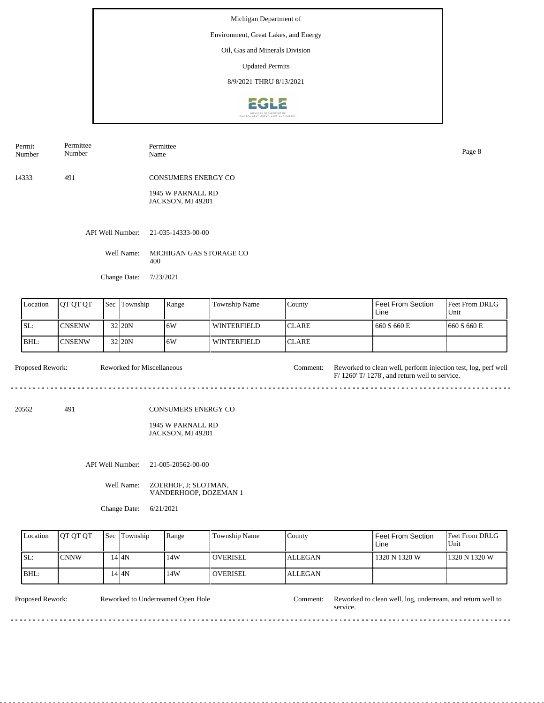#### Environment, Great Lakes, and Energy

Oil, Gas and Minerals Division

Updated Permits

8/9/2021 THRU 8/13/2021



| Permit<br>Number | Permittee<br>Number | Permittee<br>Name                             | Page 8 |
|------------------|---------------------|-----------------------------------------------|--------|
| 14333            | 491                 | <b>CONSUMERS ENERGY CO</b>                    |        |
|                  |                     | 1945 W PARNALL RD<br><b>JACKSON, MI 49201</b> |        |
|                  |                     | API Well Number: 21-035-14333-00-00           |        |
|                  | Well Name:          | MICHIGAN GAS STORAGE CO<br>400                |        |
|                  | Change Date:        | 7/23/2021                                     |        |

| Location | <b>JOT OT OT</b> | Sec | Township | Range | <b>Township Name</b> | County        | Feet From Section<br>Line | <b>Feet From DRLG</b><br>Unit |
|----------|------------------|-----|----------|-------|----------------------|---------------|---------------------------|-------------------------------|
| SL:      | <b>ICNSENW</b>   |     | 32 20N   | 6W    | WINTERFIELD          | <b>ICLARE</b> | 660 S 660 E               | 1660 S 660 E                  |
| BHL:     | ICNSENW          |     | 32 20N   | ا 6W  | <b>WINTERFIELD</b>   | <b>ICLARE</b> |                           |                               |

| <b>Proposed Rework:</b> |     | Reworked for Miscellaneous |                     | Comment: Reworked to clean well, perform injection test, log, perf well<br>$F/ 1260'$ T/ 1278', and return well to service. |
|-------------------------|-----|----------------------------|---------------------|-----------------------------------------------------------------------------------------------------------------------------|
| 20562                   | 491 |                            | CONSUMERS ENERGY CO |                                                                                                                             |

1945 W PARNALL RD JACKSON, MI 49201

API Well Number: 21-005-20562-00-00

Well Name: ZOERHOF, J; SLOTMAN, VANDERHOOP, DOZEMAN 1

Change Date: 6/21/2021

| Location | <b>IOT OT OT</b> | <b>Sec Township</b> | Range | Township Name   | County         | Feet From Section<br>Line | <b>Feet From DRLG</b><br>Unit |
|----------|------------------|---------------------|-------|-----------------|----------------|---------------------------|-------------------------------|
| SL:      | <b>CNNW</b>      | 4 I4N               | 14W   | <b>OVERISEL</b> | <b>ALLEGAN</b> | 1320 N 1320 W             | 1320 N 1320 W                 |
| BHL:     |                  | 4 I4N               | 14W   | <b>OVERISEL</b> | <b>ALLEGAN</b> |                           |                               |

| <b>Proposed Rework:</b> | Reworked to Underreamed Open Hole | .'omment: | Reworked to clean well, log, underream, and return well to<br>service. |
|-------------------------|-----------------------------------|-----------|------------------------------------------------------------------------|
|                         |                                   |           |                                                                        |